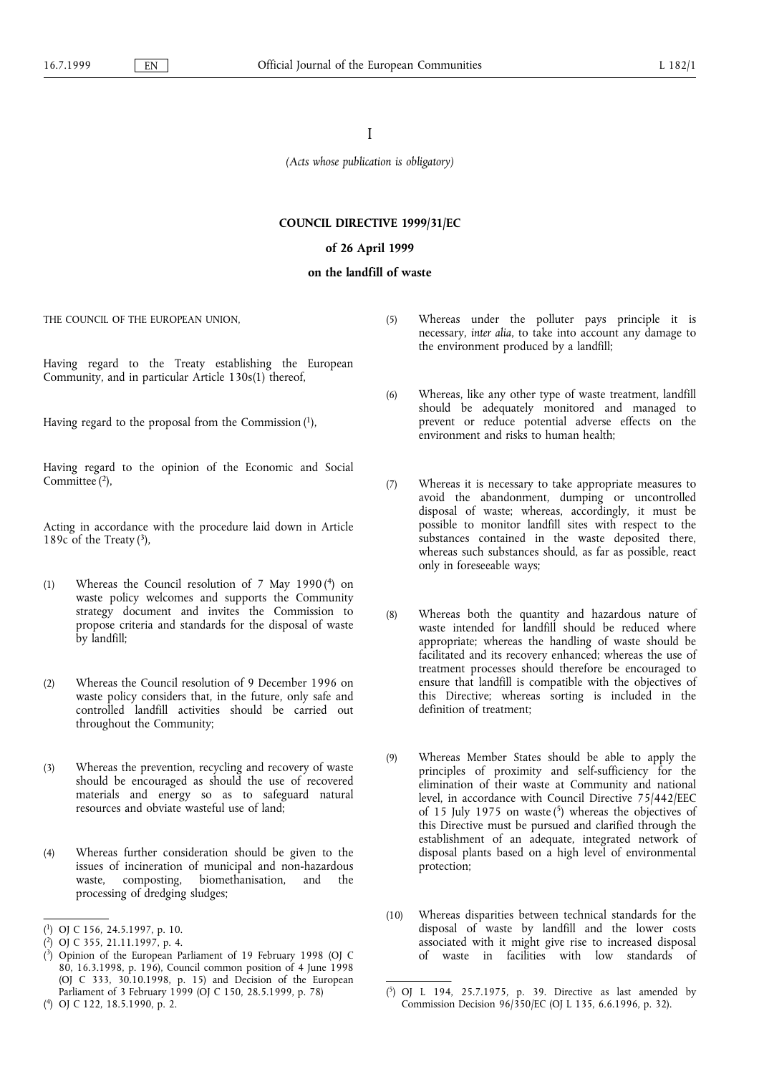$E<sub>N</sub>$ 

 $\mathbf{I}$ 

(Acts whose publication is obligatory)

# **COUNCIL DIRECTIVE 1999/31/EC**

# of 26 April 1999

# on the landfill of waste

THE COUNCIL OF THE EUROPEAN UNION.

Having regard to the Treaty establishing the European Community, and in particular Article 130s(1) thereof,

Having regard to the proposal from the Commission  $(1)$ ,

Having regard to the opinion of the Economic and Social Committee  $(2)$ ,

Acting in accordance with the procedure laid down in Article 189 $c$  of the Treaty  $(3)$ ,

- Whereas the Council resolution of 7 May 1990 (4) on  $(1)$ waste policy welcomes and supports the Community strategy document and invites the Commission to propose criteria and standards for the disposal of waste by landfill:
- Whereas the Council resolution of 9 December 1996 on  $(2)$ waste policy considers that, in the future, only safe and controlled landfill activities should be carried out throughout the Community;
- $(3)$ Whereas the prevention, recycling and recovery of waste should be encouraged as should the use of recovered materials and energy so as to safeguard natural resources and obviate wasteful use of land;
- Whereas further consideration should be given to the  $(4)$ issues of incineration of municipal and non-hazardous waste, composting, biomethanisation, and the processing of dredging sludges;

 $(4)$  OJ C 122, 18.5.1990, p. 2.

- $(5)$ Whereas under the polluter pays principle it is necessary, inter alia, to take into account any damage to the environment produced by a landfill;
- Whereas, like any other type of waste treatment, landfill  $(6)$ should be adequately monitored and managed to prevent or reduce potential adverse effects on the environment and risks to human health;
- Whereas it is necessary to take appropriate measures to  $(7)$ avoid the abandonment, dumping or uncontrolled disposal of waste; whereas, accordingly, it must be possible to monitor landfill sites with respect to the substances contained in the waste deposited there, whereas such substances should, as far as possible, react only in foreseeable ways;
- Whereas both the quantity and hazardous nature of  $(8)$ waste intended for landfill should be reduced where appropriate; whereas the handling of waste should be facilitated and its recovery enhanced; whereas the use of treatment processes should therefore be encouraged to ensure that landfill is compatible with the objectives of this Directive; whereas sorting is included in the definition of treatment:
- $(9)$ Whereas Member States should be able to apply the principles of proximity and self-sufficiency for the elimination of their waste at Community and national level, in accordance with Council Directive 75/442/EEC of 15 July 1975 on waste  $(5)$  whereas the objectives of this Directive must be pursued and clarified through the establishment of an adequate, integrated network of disposal plants based on a high level of environmental protection;
- $(10)$ Whereas disparities between technical standards for the disposal of waste by landfill and the lower costs associated with it might give rise to increased disposal of waste in facilities with low standards of

 $\binom{1}{1}$  OJ C 156, 24.5.1997, p. 10.

 $(2)$  OJ C 355, 21.11.1997, p. 4.

 $(3)$  Opinion of the European Parliament of 19 February 1998 (OJ C 80, 16.3.1998, p. 196), Council common position of 4 June 1998 (OJ C 333, 30.10.1998, p. 15) and Decision of the European Parliament of 3 February 1999 (OJ C 150, 28.5.1999, p. 78)

 $(5)$  OJ L 194, 25.7.1975, p. 39. Directive as last amended by Commission Decision 96/350/EC (OJ L 135, 6.6.1996, p. 32).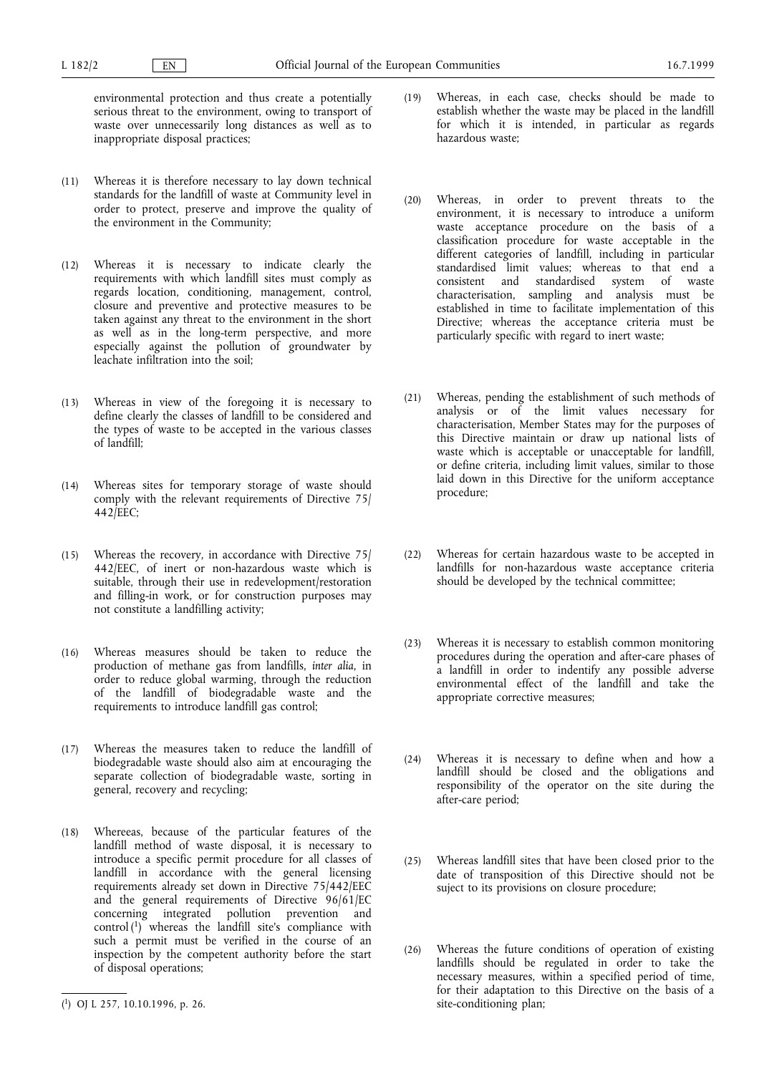$\sqrt{EN}$ 

environmental protection and thus create a potentially serious threat to the environment, owing to transport of waste over unnecessarily long distances as well as to inappropriate disposal practices;

- (11) Whereas it is therefore necessary to lay down technical standards for the landfill of waste at Community level in order to protect, preserve and improve the quality of the environment in the Community;
- Whereas it is necessary to indicate clearly the  $(12)$ requirements with which landfill sites must comply as regards location, conditioning, management, control, closure and preventive and protective measures to be taken against any threat to the environment in the short as well as in the long-term perspective, and more especially against the pollution of groundwater by leachate infiltration into the soil:
- $(13)$ Whereas in view of the foregoing it is necessary to define clearly the classes of landfill to be considered and the types of waste to be accepted in the various classes of landfill:
- Whereas sites for temporary storage of waste should  $(14)$ comply with the relevant requirements of Directive 75/  $442$ *[EEC*:
- Whereas the recovery, in accordance with Directive 75/  $(15)$ 442/EEC, of inert or non-hazardous waste which is suitable, through their use in redevelopment/restoration and filling-in work, or for construction purposes may not constitute a landfilling activity;
- Whereas measures should be taken to reduce the  $(16)$ production of methane gas from landfills, inter alia, in order to reduce global warming, through the reduction of the landfill of biodegradable waste and the requirements to introduce landfill gas control;
- $(17)$ Whereas the measures taken to reduce the landfill of biodegradable waste should also aim at encouraging the separate collection of biodegradable waste, sorting in general, recovery and recycling;
- Whereeas, because of the particular features of the  $(18)$ landfill method of waste disposal, it is necessary to introduce a specific permit procedure for all classes of landfill in accordance with the general licensing requirements already set down in Directive 75/442/EEC and the general requirements of Directive 96/61/EC concerning integrated pollution prevention and control  $(1)$  whereas the landfill site's compliance with such a permit must be verified in the course of an inspection by the competent authority before the start of disposal operations;
- Whereas, in each case, checks should be made to  $(19)$ establish whether the waste may be placed in the landfill for which it is intended, in particular as regards hazardous waste:
- $(20)$ Whereas, in order to prevent threats to the environment, it is necessary to introduce a uniform waste acceptance procedure on the basis of a classification procedure for waste acceptable in the different categories of landfill, including in particular standardised limit values; whereas to that end a consistent and standardised system of waste characterisation, sampling and analysis must be established in time to facilitate implementation of this Directive; whereas the acceptance criteria must be particularly specific with regard to inert waste;
- $(21)$ Whereas, pending the establishment of such methods of analysis or of the limit values necessary for characterisation, Member States may for the purposes of this Directive maintain or draw up national lists of waste which is acceptable or unacceptable for landfill, or define criteria, including limit values, similar to those laid down in this Directive for the uniform acceptance procedure;
- $(22)$ Whereas for certain hazardous waste to be accepted in landfills for non-hazardous waste acceptance criteria should be developed by the technical committee;
- Whereas it is necessary to establish common monitoring  $(23)$ procedures during the operation and after-care phases of a landfill in order to indentify any possible adverse environmental effect of the landfill and take the appropriate corrective measures;
- Whereas it is necessary to define when and how a  $(24)$ landfill should be closed and the obligations and responsibility of the operator on the site during the after-care period;
- $(25)$ Whereas landfill sites that have been closed prior to the date of transposition of this Directive should not be suject to its provisions on closure procedure;
- Whereas the future conditions of operation of existing  $(26)$ landfills should be regulated in order to take the necessary measures, within a specified period of time, for their adaptation to this Directive on the basis of a site-conditioning plan;

 $(^1)$  OJ L 257, 10.10.1996, p. 26.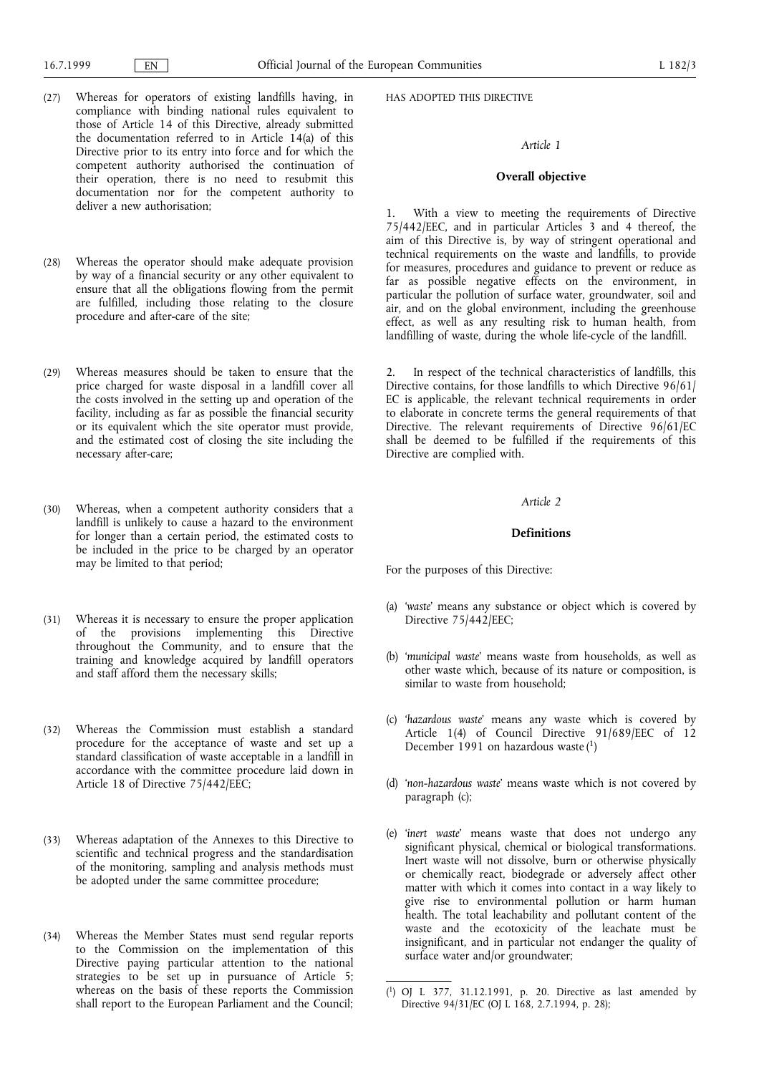- $(27)$ Whereas for operators of existing landfills having, in compliance with binding national rules equivalent to those of Article 14 of this Directive, already submitted the documentation referred to in Article 14(a) of this Directive prior to its entry into force and for which the competent authority authorised the continuation of their operation, there is no need to resubmit this documentation nor for the competent authority to deliver a new authorisation:
- $(28)$ Whereas the operator should make adequate provision by way of a financial security or any other equivalent to ensure that all the obligations flowing from the permit are fulfilled, including those relating to the closure procedure and after-care of the site;
- $(29)$ Whereas measures should be taken to ensure that the price charged for waste disposal in a landfill cover all the costs involved in the setting up and operation of the facility, including as far as possible the financial security or its equivalent which the site operator must provide, and the estimated cost of closing the site including the necessary after-care;
- $(30)$ Whereas, when a competent authority considers that a landfill is unlikely to cause a hazard to the environment for longer than a certain period, the estimated costs to be included in the price to be charged by an operator may be limited to that period;
- (31) Whereas it is necessary to ensure the proper application of the provisions implementing this Directive throughout the Community, and to ensure that the training and knowledge acquired by landfill operators and staff afford them the necessary skills;
- $(32)$ Whereas the Commission must establish a standard procedure for the acceptance of waste and set up a standard classification of waste acceptable in a landfill in accordance with the committee procedure laid down in Article 18 of Directive 75/442/EEC;
- $(33)$ Whereas adaptation of the Annexes to this Directive to scientific and technical progress and the standardisation of the monitoring, sampling and analysis methods must be adopted under the same committee procedure;
- (34) Whereas the Member States must send regular reports to the Commission on the implementation of this Directive paying particular attention to the national strategies to be set up in pursuance of Article 5; whereas on the basis of these reports the Commission shall report to the European Parliament and the Council;

HAS ADOPTED THIS DIRECTIVE

## Article 1

## Overall objective

With a view to meeting the requirements of Directive 75/442/EEC, and in particular Articles 3 and 4 thereof, the aim of this Directive is, by way of stringent operational and technical requirements on the waste and landfills, to provide for measures, procedures and guidance to prevent or reduce as far as possible negative effects on the environment, in particular the pollution of surface water, groundwater, soil and air, and on the global environment, including the greenhouse effect, as well as any resulting risk to human health, from landfilling of waste, during the whole life-cycle of the landfill.

In respect of the technical characteristics of landfills, this Directive contains, for those landfills to which Directive 96/61/ EC is applicable, the relevant technical requirements in order to elaborate in concrete terms the general requirements of that Directive. The relevant requirements of Directive 96/61/EC shall be deemed to be fulfilled if the requirements of this Directive are complied with.

## Article 2

## **Definitions**

For the purposes of this Directive:

- (a) 'waste' means any substance or object which is covered by Directive 75/442/EEC;
- (b) 'municipal waste' means waste from households, as well as other waste which, because of its nature or composition, is similar to waste from household;
- (c) 'hazardous waste' means any waste which is covered by Article 1(4) of Council Directive 91/689/EEC of 12 December 1991 on hazardous waste (1)
- (d) 'non-hazardous waste' means waste which is not covered by paragraph (c);
- (e) 'inert waste' means waste that does not undergo any significant physical, chemical or biological transformations. Inert waste will not dissolve, burn or otherwise physically or chemically react, biodegrade or adversely affect other matter with which it comes into contact in a way likely to give rise to environmental pollution or harm human health. The total leachability and pollutant content of the waste and the ecotoxicity of the leachate must be insignificant, and in particular not endanger the quality of surface water and/or groundwater;

 $(^1)$  OJ L 377, 31.12.1991, p. 20. Directive as last amended by Directive 94/31/EC (OJ L 168, 2.7.1994, p. 28);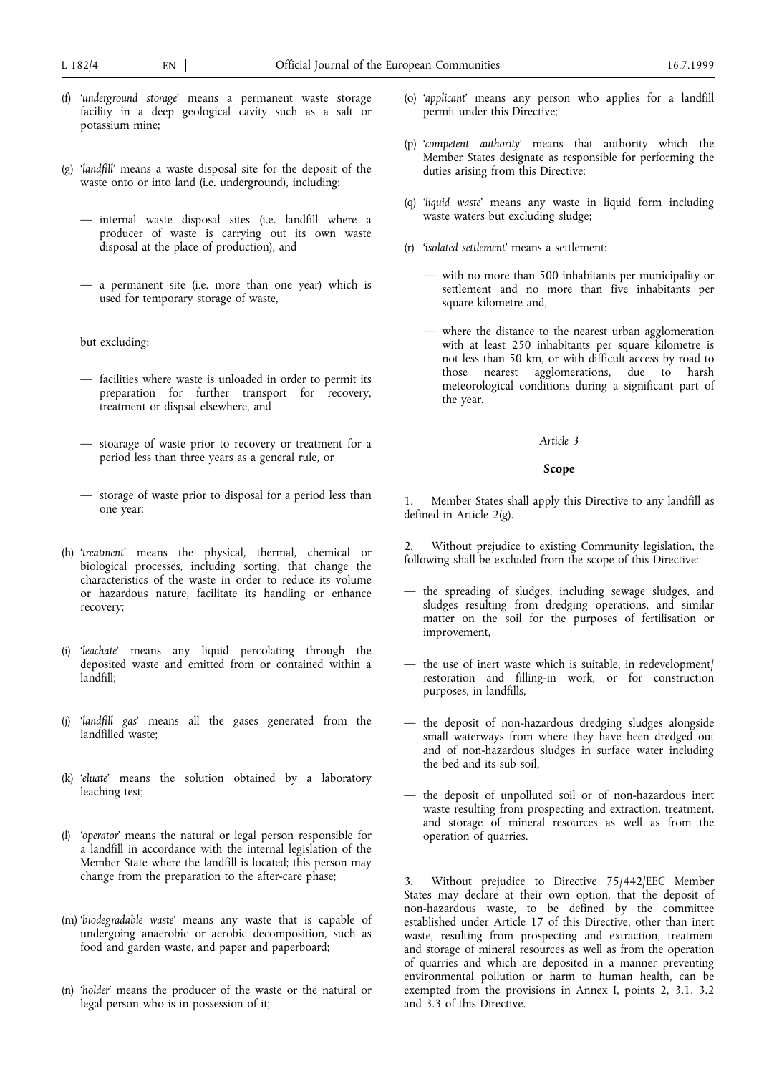$I. 182/4$ 

 $E<sub>N</sub>$ 

- (f) 'underground storage' means a permanent waste storage facility in a deep geological cavity such as a salt or potassium mine;
- (g) 'landfill' means a waste disposal site for the deposit of the waste onto or into land (i.e. underground), including:
	- internal waste disposal sites (i.e. landfill where a producer of waste is carrying out its own waste disposal at the place of production), and
	- a permanent site (i.e. more than one year) which is used for temporary storage of waste,

but excluding:

- facilities where waste is unloaded in order to permit its preparation for further transport for recovery, treatment or dispsal elsewhere, and
- stoarage of waste prior to recovery or treatment for a period less than three years as a general rule, or
- storage of waste prior to disposal for a period less than one year;
- (h) 'treatment' means the physical, thermal, chemical or biological processes, including sorting, that change the characteristics of the waste in order to reduce its volume or hazardous nature, facilitate its handling or enhance recovery;
- (i) 'leachate' means any liquid percolating through the deposited waste and emitted from or contained within a landfill;
- (i) 'landfill gas' means all the gases generated from the landfilled waste:
- (k) 'eluate' means the solution obtained by a laboratory leaching test;
- (l) 'operator' means the natural or legal person responsible for a landfill in accordance with the internal legislation of the Member State where the landfill is located; this person may change from the preparation to the after-care phase;
- (m) 'biodegradable waste' means any waste that is capable of undergoing anaerobic or aerobic decomposition, such as food and garden waste, and paper and paperboard;
- (n) 'holder' means the producer of the waste or the natural or legal person who is in possession of it;
- (o) 'applicant' means any person who applies for a landfill permit under this Directive;
- (p) 'competent authority' means that authority which the Member States designate as responsible for performing the duties arising from this Directive;
- (q) 'liquid waste' means any waste in liquid form including waste waters but excluding sludge;
- (r) 'isolated settlement' means a settlement:
	- with no more than 500 inhabitants per municipality or settlement and no more than five inhabitants per square kilometre and,
	- where the distance to the nearest urban agglomeration with at least 250 inhabitants per square kilometre is not less than 50 km, or with difficult access by road to those nearest agglomerations, due to harsh meteorological conditions during a significant part of the year.

## Article 3

## Scope

Member States shall apply this Directive to any landfill as  $\mathbf{1}$ defined in Article  $2(g)$ .

Without prejudice to existing Community legislation, the  $2<sub>1</sub>$ following shall be excluded from the scope of this Directive:

- the spreading of sludges, including sewage sludges, and sludges resulting from dredging operations, and similar matter on the soil for the purposes of fertilisation or improvement,
- the use of inert waste which is suitable, in redevelopment/ restoration and filling-in work, or for construction purposes, in landfills,
- the deposit of non-hazardous dredging sludges alongside small waterways from where they have been dredged out and of non-hazardous sludges in surface water including the bed and its sub soil.
- the deposit of unpolluted soil or of non-hazardous inert waste resulting from prospecting and extraction, treatment, and storage of mineral resources as well as from the operation of quarries.

Without prejudice to Directive 75/442/EEC Member  $3.$ States may declare at their own option, that the deposit of<br>non-hazardous waste, to be defined by the committee established under Article 17 of this Directive, other than inert waste, resulting from prospecting and extraction, treatment and storage of mineral resources as well as from the operation of quarries and which are deposited in a manner preventing environmental pollution or harm to human health, can be exempted from the provisions in Annex I, points 2, 3.1, 3.2 and 3.3 of this Directive.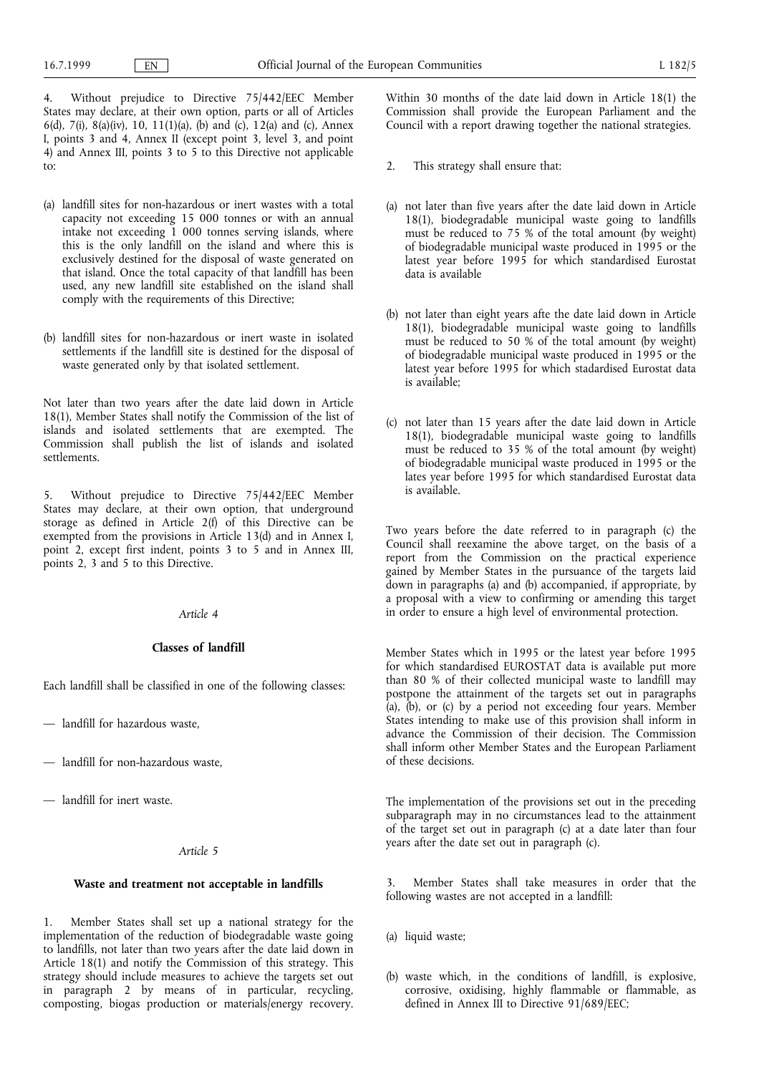16.7.1999

 $EN$ 

Without prejudice to Directive 75/442/EEC Member States may declare, at their own option, parts or all of Articles 6(d), 7(i), 8(a)(iv), 10, 11(1)(a), (b) and (c), 12(a) and (c), Annex I, points 3 and 4, Annex II (except point 3, level 3, and point 4) and Annex III, points 3 to 5 to this Directive not applicable  $\mathsf{f} \Omega$ 

- (a) landfill sites for non-hazardous or inert wastes with a total capacity not exceeding 15 000 tonnes or with an annual intake not exceeding 1 000 tonnes serving islands, where this is the only landfill on the island and where this is exclusively destined for the disposal of waste generated on that island. Once the total capacity of that landfill has been used, any new landfill site established on the island shall comply with the requirements of this Directive;
- (b) landfill sites for non-hazardous or inert waste in isolated settlements if the landfill site is destined for the disposal of waste generated only by that isolated settlement.

Not later than two years after the date laid down in Article 18(1), Member States shall notify the Commission of the list of islands and isolated settlements that are exempted. The Commission shall publish the list of islands and isolated settlements.

5. Without prejudice to Directive 75/442/EEC Member States may declare, at their own option, that underground storage as defined in Article 2(f) of this Directive can be exempted from the provisions in Article 13(d) and in Annex I, point 2, except first indent, points 3 to 5 and in Annex III, points 2, 3 and 5 to this Directive.

### Article 4

## **Classes of landfill**

Each landfill shall be classified in one of the following classes:

- landfill for hazardous waste.
- landfill for non-hazardous waste,
- landfill for inert waste.

## Article 5

## Waste and treatment not acceptable in landfills

Member States shall set up a national strategy for the implementation of the reduction of biodegradable waste going to landfills, not later than two years after the date laid down in Article 18(1) and notify the Commission of this strategy. This strategy should include measures to achieve the targets set out in paragraph 2 by means of in particular, recycling, composting, biogas production or materials/energy recovery. Within 30 months of the date laid down in Article 18(1) the Commission shall provide the European Parliament and the Council with a report drawing together the national strategies.

- $\mathfrak{I}$ . This strategy shall ensure that:
- (a) not later than five years after the date laid down in Article 18(1), biodegradable municipal waste going to landfills must be reduced to 75 % of the total amount (by weight) of biodegradable municipal waste produced in 1995 or the latest year before 1995 for which standardised Eurostat data is available
- (b) not later than eight years afte the date laid down in Article 18(1), biodegradable municipal waste going to landfills must be reduced to 50 % of the total amount (by weight) of biodegradable municipal waste produced in 1995 or the latest year before 1995 for which stadardised Eurostat data is available:
- (c) not later than 15 years after the date laid down in Article 18(1), biodegradable municipal waste going to landfills must be reduced to 35 % of the total amount (by weight) of biodegradable municipal waste produced in 1995 or the lates year before 1995 for which standardised Eurostat data is available.

Two years before the date referred to in paragraph (c) the Council shall reexamine the above target, on the basis of a report from the Commission on the practical experience gained by Member States in the pursuance of the targets laid down in paragraphs (a) and (b) accompanied, if appropriate, by a proposal with a view to confirming or amending this target in order to ensure a high level of environmental protection.

Member States which in 1995 or the latest year before 1995 for which standardised EUROSTAT data is available put more than 80 % of their collected municipal waste to landfill may postpone the attainment of the targets set out in paragraphs  $(a)$ ,  $(b)$ , or  $(c)$  by a period not exceeding four years. Member States intending to make use of this provision shall inform in advance the Commission of their decision. The Commission shall inform other Member States and the European Parliament of these decisions.

The implementation of the provisions set out in the preceding subparagraph may in no circumstances lead to the attainment of the target set out in paragraph (c) at a date later than four years after the date set out in paragraph (c).

Member States shall take measures in order that the following wastes are not accepted in a landfill:

- (a) liquid waste;
- (b) waste which, in the conditions of landfill, is explosive, corrosive, oxidising, highly flammable or flammable, as defined in Annex III to Directive 91/689/EEC;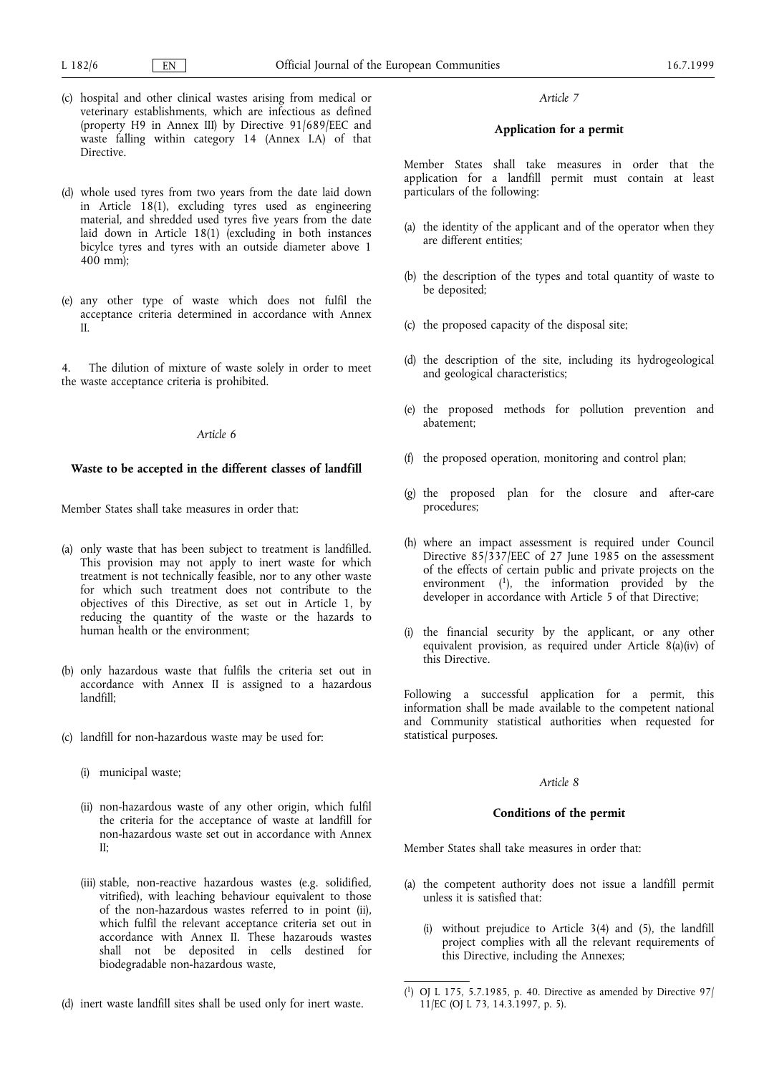$I. 182/6$ 

 $\sqrt{EN}$ 

- (c) hospital and other clinical wastes arising from medical or veterinary establishments, which are infectious as defined (property H9 in Annex III) by Directive 91/689/EEC and waste falling within category 14 (Annex I.A) of that Directive.
- (d) whole used tyres from two years from the date laid down in Article 18(1), excluding tyres used as engineering material, and shredded used tyres five years from the date laid down in Article 18(1) (excluding in both instances bicylce tyres and tyres with an outside diameter above 1 400 mm);
- (e) any other type of waste which does not fulfil the acceptance criteria determined in accordance with Annex  $\Pi$ .

The dilution of mixture of waste solely in order to meet  $4.$ the waste acceptance criteria is prohibited.

## Article 6

# Waste to be accepted in the different classes of landfill

Member States shall take measures in order that:

- (a) only waste that has been subject to treatment is landfilled. This provision may not apply to inert waste for which treatment is not technically feasible, nor to any other waste for which such treatment does not contribute to the objectives of this Directive, as set out in Article 1, by reducing the quantity of the waste or the hazards to human health or the environment:
- (b) only hazardous waste that fulfils the criteria set out in accordance with Annex II is assigned to a hazardous landfill:
- (c) landfill for non-hazardous waste may be used for:
	- (i) municipal waste;
	- (ii) non-hazardous waste of any other origin, which fulfil the criteria for the acceptance of waste at landfill for non-hazardous waste set out in accordance with Annex  $\Pi$ :
	- (iii) stable, non-reactive hazardous wastes (e.g. solidified, vitrified), with leaching behaviour equivalent to those of the non-hazardous wastes referred to in point (ii), which fulfil the relevant acceptance criteria set out in<br>accordance with Annex II. These hazarouds wastes<br>shall not be deposited in cells destined for biodegradable non-hazardous waste,
- (d) inert waste landfill sites shall be used only for inert waste.

### Article 7

## Application for a permit

Member States shall take measures in order that the application for a landfill permit must contain at least particulars of the following:

- (a) the identity of the applicant and of the operator when they are different entities;
- (b) the description of the types and total quantity of waste to be deposited:
- (c) the proposed capacity of the disposal site;
- (d) the description of the site, including its hydrogeological and geological characteristics;
- (e) the proposed methods for pollution prevention and abatement:
- (f) the proposed operation, monitoring and control plan:
- (g) the proposed plan for the closure and after-care procedures;
- (h) where an impact assessment is required under Council Directive  $85/\overline{337}/\overline{EEC}$  of 27 June 1985 on the assessment of the effects of certain public and private projects on the environment  $(1)$ , the information provided by the developer in accordance with Article 5 of that Directive;
- (i) the financial security by the applicant, or any other equivalent provision, as required under Article 8(a)(iv) of this Directive.

Following a successful application for a permit, this information shall be made available to the competent national and Community statistical authorities when requested for statistical purposes.

## Article 8

## Conditions of the permit

Member States shall take measures in order that:

- (a) the competent authority does not issue a landfill permit unless it is satisfied that:
	- (i) without prejudice to Article  $3(4)$  and  $(5)$ , the landfill project complies with all the relevant requirements of this Directive, including the Annexes;

 $(1)$  OJ L 175, 5.7.1985, p. 40. Directive as amended by Directive 97/ 11/EC (OJ L 73, 14.3.1997, p. 5).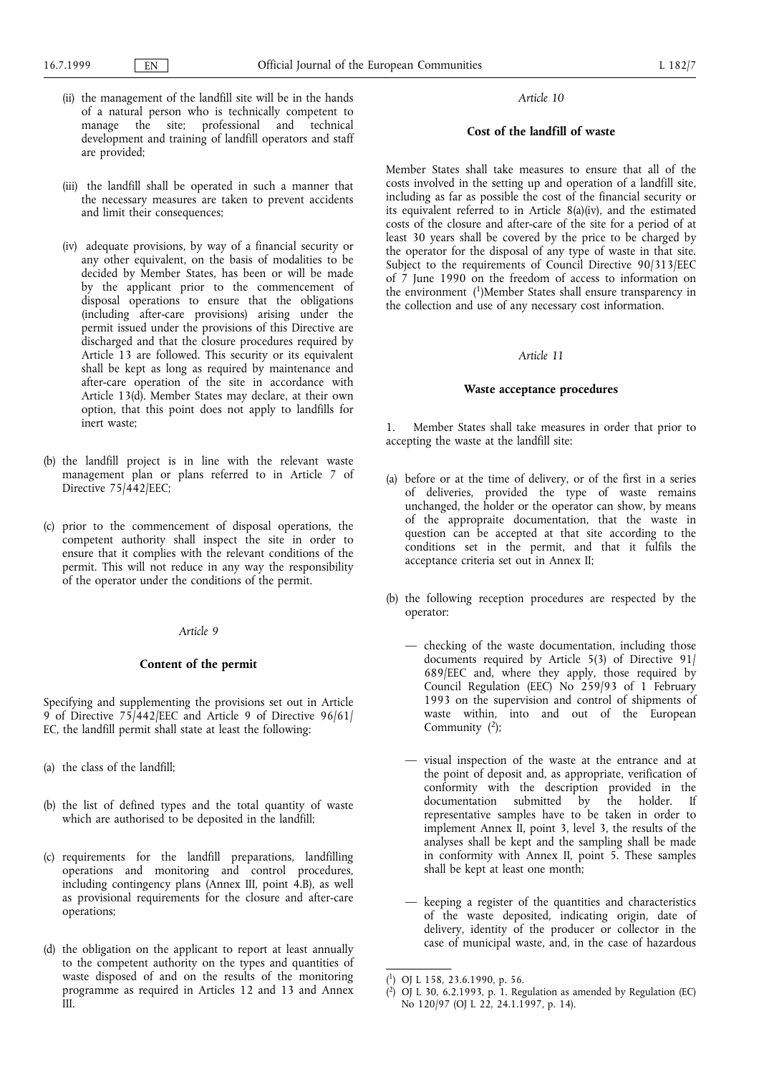- (ii) the management of the landfill site will be in the hands of a natural person who is technically competent to manage the site; professional and technical development and training of landfill operators and staff are provided;
- (iii) the landfill shall be operated in such a manner that the necessary measures are taken to prevent accidents and limit their consequences;
- (iv) adequate provisions, by way of a financial security or any other equivalent, on the basis of modalities to be decided by Member States, has been or will be made by the applicant prior to the commencement of disposal operations to ensure that the obligations (including after-care provisions) arising under the permit issued under the provisions of this Directive are discharged and that the closure procedures required by Article 13 are followed. This security or its equivalent shall be kept as long as required by maintenance and after-care operation of the site in accordance with Article 13(d). Member States may declare, at their own option, that this point does not apply to landfills for inert waste:
- (b) the landfill project is in line with the relevant waste management plan or plans referred to in Article 7 of Directive 75/442/EEC;
- (c) prior to the commencement of disposal operations, the competent authority shall inspect the site in order to ensure that it complies with the relevant conditions of the permit. This will not reduce in any way the responsibility of the operator under the conditions of the permit.

## Article 9

## Content of the permit

Specifying and supplementing the provisions set out in Article 9 of Directive 75/442/EEC and Article 9 of Directive 96/61/ EC, the landfill permit shall state at least the following:

- (a) the class of the landfill;
- (b) the list of defined types and the total quantity of waste which are authorised to be deposited in the landfill;
- (c) requirements for the landfill preparations, landfilling operations and monitoring and control procedures, including contingency plans (Annex III, point 4.B), as well as provisional requirements for the closure and after-care operations;
- (d) the obligation on the applicant to report at least annually to the competent authority on the types and quantities of waste disposed of and on the results of the monitoring programme as required in Articles 12 and 13 and Annex ĪII.

## Article 10

# Cost of the landfill of waste

Member States shall take measures to ensure that all of the costs involved in the setting up and operation of a landfill site, including as far as possible the cost of the financial security or its equivalent referred to in Article 8(a)(iv), and the estimated costs of the closure and after-care of the site for a period of at least 30 years shall be covered by the price to be charged by the operator for the disposal of any type of waste in that site. Subject to the requirements of Council Directive 90/313/EEC of 7 June 1990 on the freedom of access to information on the environment (1)Member States shall ensure transparency in the collection and use of any necessary cost information.

## Article 11

### Waste acceptance procedures

Member States shall take measures in order that prior to 1. accepting the waste at the landfill site:

- (a) before or at the time of delivery, or of the first in a series of deliveries, provided the type of waste remains unchanged, the holder or the operator can show, by means of the appropraite documentation, that the waste in question can be accepted at that site according to the conditions set in the permit, and that it fulfils the acceptance criteria set out in Annex II;
- (b) the following reception procedures are respected by the operator:
	- checking of the waste documentation, including those documents required by Article 5(3) of Directive 91/ 689/EEC and, where they apply, those required by Council Regulation (EEC) No 259/93 of 1 February 1993 on the supervision and control of shipments of waste within, into and out of the European Community  $(^2)$ ;
	- visual inspection of the waste at the entrance and at the point of deposit and, as appropriate, verification of conformity with the description provided in the documentation submitted by the holder.  $\mathbf{H}$ representative samples have to be taken in order to implement Annex II, point 3, level 3, the results of the analyses shall be kept and the sampling shall be made in conformity with Annex II, point 5. These samples shall be kept at least one month;
	- keeping a register of the quantities and characteristics of the waste deposited, indicating origin, date of delivery, identity of the producer or collector in the case of municipal waste, and, in the case of hazardous

 $(1)$  OJ L 158, 23.6.1990, p. 56.

 $(2)$  OJ L 30, 6.2.1993, p. 1. Regulation as amended by Regulation (EC) No 120/97 (OJ L 22, 24.1.1997, p. 14).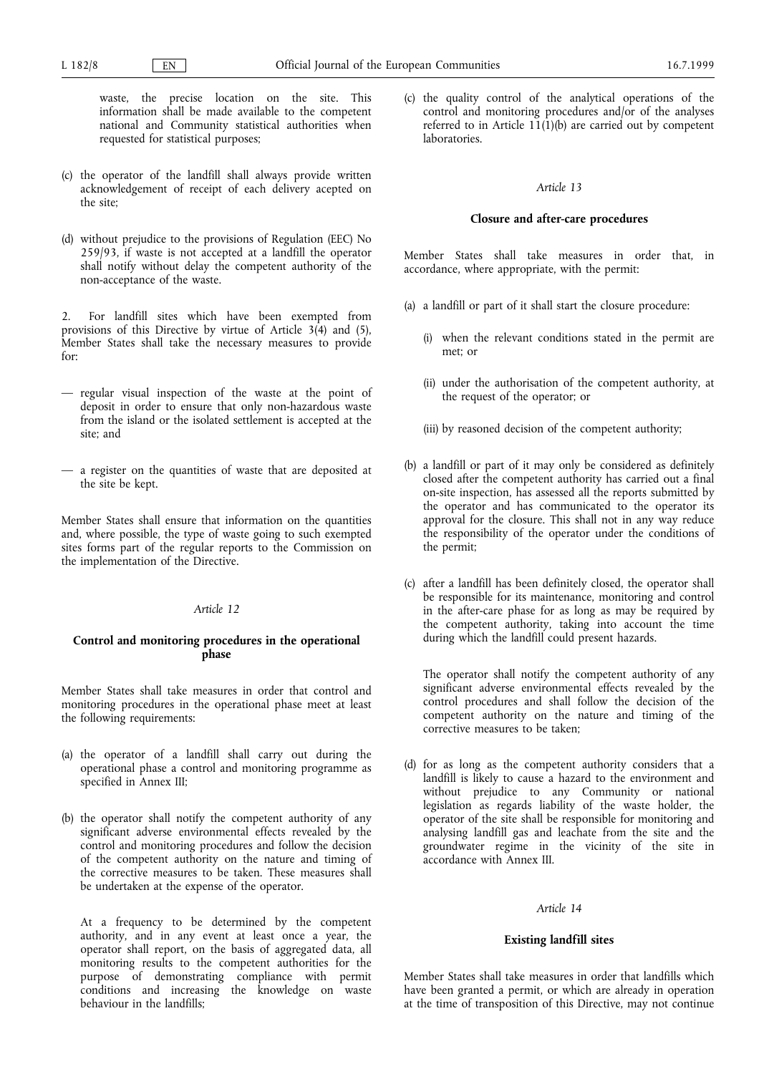$\n **EN**\n$ 

waste, the precise location on the site. This information shall be made available to the competent national and Community statistical authorities when requested for statistical purposes;

- (c) the operator of the landfill shall always provide written acknowledgement of receipt of each delivery acepted on the site:
- (d) without prejudice to the provisions of Regulation (EEC) No 259/93, if waste is not accepted at a landfill the operator shall notify without delay the competent authority of the non-acceptance of the waste.

For landfill sites which have been exempted from 2. provisions of this Directive by virtue of Article  $3(\overline{4})$  and (5), Member States shall take the necessary measures to provide  $for$ 

- regular visual inspection of the waste at the point of deposit in order to ensure that only non-hazardous waste from the island or the isolated settlement is accepted at the site: and
- a register on the quantities of waste that are deposited at the site be kept.

Member States shall ensure that information on the quantities and, where possible, the type of waste going to such exempted sites forms part of the regular reports to the Commission on the implementation of the Directive.

# Article 12

# Control and monitoring procedures in the operational phase

Member States shall take measures in order that control and monitoring procedures in the operational phase meet at least the following requirements:

- (a) the operator of a landfill shall carry out during the operational phase a control and monitoring programme as specified in Annex III;
- (b) the operator shall notify the competent authority of any significant adverse environmental effects revealed by the control and monitoring procedures and follow the decision of the competent authority on the nature and timing of the corrective measures to be taken. These measures shall be undertaken at the expense of the operator.

At a frequency to be determined by the competent authority, and in any event at least once a year, the operator shall report, on the basis of aggregated data, all monitoring results to the competent authorities for the purpose of demonstrating compliance with permit conditions and increasing the knowledge on waste behaviour in the landfills;

(c) the quality control of the analytical operations of the control and monitoring procedures and/or of the analyses referred to in Article  $11(1)(b)$  are carried out by competent laboratories.

# Article 13

## Closure and after-care procedures

Member States shall take measures in order that, in accordance, where appropriate, with the permit:

- (a) a landfill or part of it shall start the closure procedure:
	- (i) when the relevant conditions stated in the permit are met: or
	- (ii) under the authorisation of the competent authority, at the request of the operator; or
	- (iii) by reasoned decision of the competent authority;
- (b) a landfill or part of it may only be considered as definitely closed after the competent authority has carried out a final on-site inspection, has assessed all the reports submitted by the operator and has communicated to the operator its approval for the closure. This shall not in any way reduce the responsibility of the operator under the conditions of the permit;
- (c) after a landfill has been definitely closed, the operator shall be responsible for its maintenance, monitoring and control in the after-care phase for as long as may be required by the competent authority, taking into account the time during which the landfill could present hazards.

The operator shall notify the competent authority of any significant adverse environmental effects revealed by the control procedures and shall follow the decision of the competent authority on the nature and timing of the corrective measures to be taken;

(d) for as long as the competent authority considers that a landfill is likely to cause a hazard to the environment and without prejudice to any Community or national legislation as regards liability of the waste holder, the operator of the site shall be responsible for monitoring and analysing landfill gas and leachate from the site and the groundwater regime in the vicinity of the site in accordance with Annex III.

#### Article 14

## **Existing landfill sites**

Member States shall take measures in order that landfills which have been granted a permit, or which are already in operation at the time of transposition of this Directive, may not continue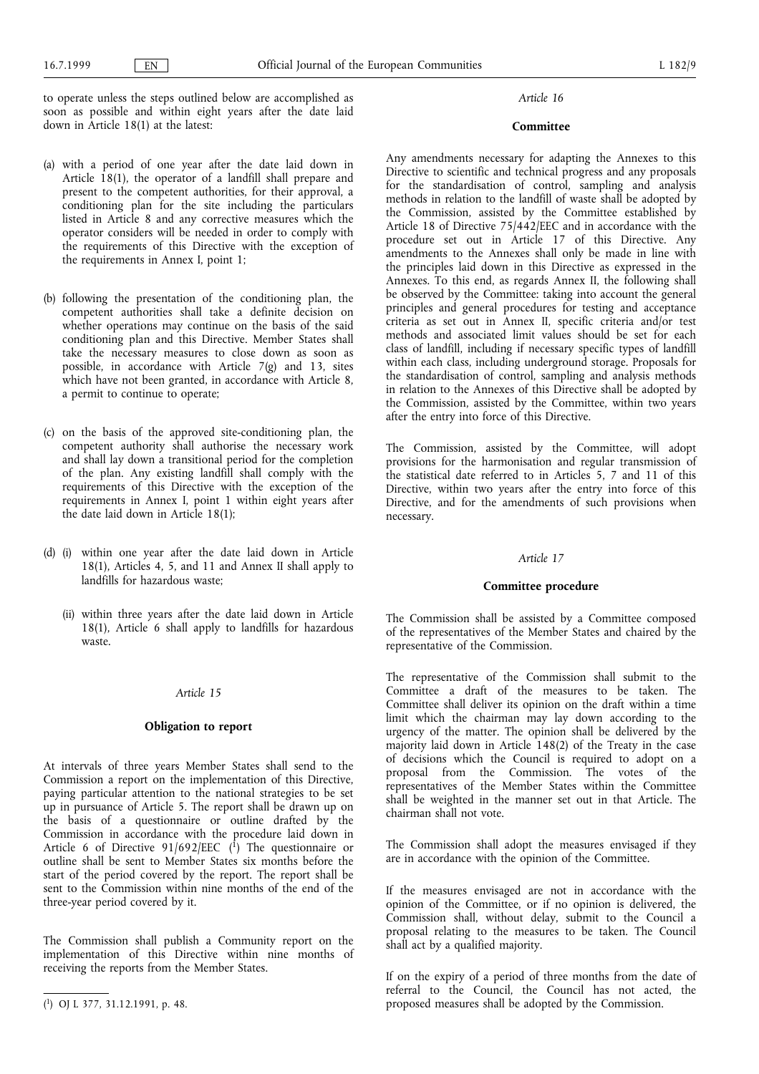16.7.1999

 $\n **EN**\n$ 

to operate unless the steps outlined below are accomplished as soon as possible and within eight years after the date laid down in Article 18(1) at the latest:

- (a) with a period of one year after the date laid down in Article  $18(1)$ , the operator of a landfill shall prepare and present to the competent authorities, for their approval, a conditioning plan for the site including the particulars listed in Article 8 and any corrective measures which the operator considers will be needed in order to comply with the requirements of this Directive with the exception of the requirements in Annex I, point 1;
- (b) following the presentation of the conditioning plan, the competent authorities shall take a definite decision on whether operations may continue on the basis of the said conditioning plan and this Directive. Member States shall take the necessary measures to close down as soon as possible, in accordance with Article  $7(g)$  and 13, sites which have not been granted, in accordance with Article 8, a permit to continue to operate;
- (c) on the basis of the approved site-conditioning plan, the competent authority shall authorise the necessary work and shall lay down a transitional period for the completion of the plan. Any existing landfill shall comply with the requirements of this Directive with the exception of the requirements in Annex I, point 1 within eight years after the date laid down in Article  $18(1)$ ;
- (d) (i) within one year after the date laid down in Article 18(1), Articles 4, 5, and 11 and Annex II shall apply to landfills for hazardous waste;
	- (ii) within three years after the date laid down in Article 18(1), Article 6 shall apply to landfills for hazardous waste.

## Article 15

## Obligation to report

At intervals of three years Member States shall send to the Commission a report on the implementation of this Directive, paying particular attention to the national strategies to be set up in pursuance of Article 5. The report shall be drawn up on the basis of a questionnaire or outline drafted by the Commission in accordance with the procedure laid down in Article 6 of Directive  $91/692/EEC$  (<sup>1</sup>) The questionnaire or outline shall be sent to Member States six months before the start of the period covered by the report. The report shall be sent to the Commission within nine months of the end of the three-year period covered by it.

The Commission shall publish a Community report on the implementation of this Directive within nine months of receiving the reports from the Member States.

#### Article 16

## Committee

Any amendments necessary for adapting the Annexes to this Directive to scientific and technical progress and any proposals for the standardisation of control, sampling and analysis methods in relation to the landfill of waste shall be adopted by the Commission, assisted by the Committee established by Article 18 of Directive 75/442/EEC and in accordance with the procedure set out in Article 17 of this Directive. Any amendments to the Annexes shall only be made in line with the principles laid down in this Directive as expressed in the Annexes. To this end, as regards Annex II, the following shall be observed by the Committee: taking into account the general principles and general procedures for testing and acceptance criteria as set out in Annex II, specific criteria and/or test methods and associated limit values should be set for each class of landfill, including if necessary specific types of landfill within each class, including underground storage. Proposals for the standardisation of control, sampling and analysis methods in relation to the Annexes of this Directive shall be adopted by the Commission, assisted by the Committee, within two years after the entry into force of this Directive.

The Commission, assisted by the Committee, will adopt provisions for the harmonisation and regular transmission of the statistical date referred to in Articles 5, 7 and 11 of this Directive, within two years after the entry into force of this Directive, and for the amendments of such provisions when necessary.

### Article 17

#### Committee procedure

The Commission shall be assisted by a Committee composed of the representatives of the Member States and chaired by the representative of the Commission.

The representative of the Commission shall submit to the Committee a draft of the measures to be taken. The Committee shall deliver its opinion on the draft within a time limit which the chairman may lay down according to the urgency of the matter. The opinion shall be delivered by the majority laid down in Article 148(2) of the Treaty in the case of decisions which the Council is required to adopt on a proposal from the Commission. The votes of the representatives of the Member States within the Committee shall be weighted in the manner set out in that Article. The chairman shall not vote.

The Commission shall adopt the measures envisaged if they are in accordance with the opinion of the Committee.

If the measures envisaged are not in accordance with the opinion of the Committee, or if no opinion is delivered, the Commission shall, without delay, submit to the Council a proposal relating to the measures to be taken. The Council shall act by a qualified majority.

If on the expiry of a period of three months from the date of referral to the Council, the Council has not acted, the proposed measures shall be adopted by the Commission.

<sup>(1)</sup> OJ L 377, 31.12.1991, p. 48.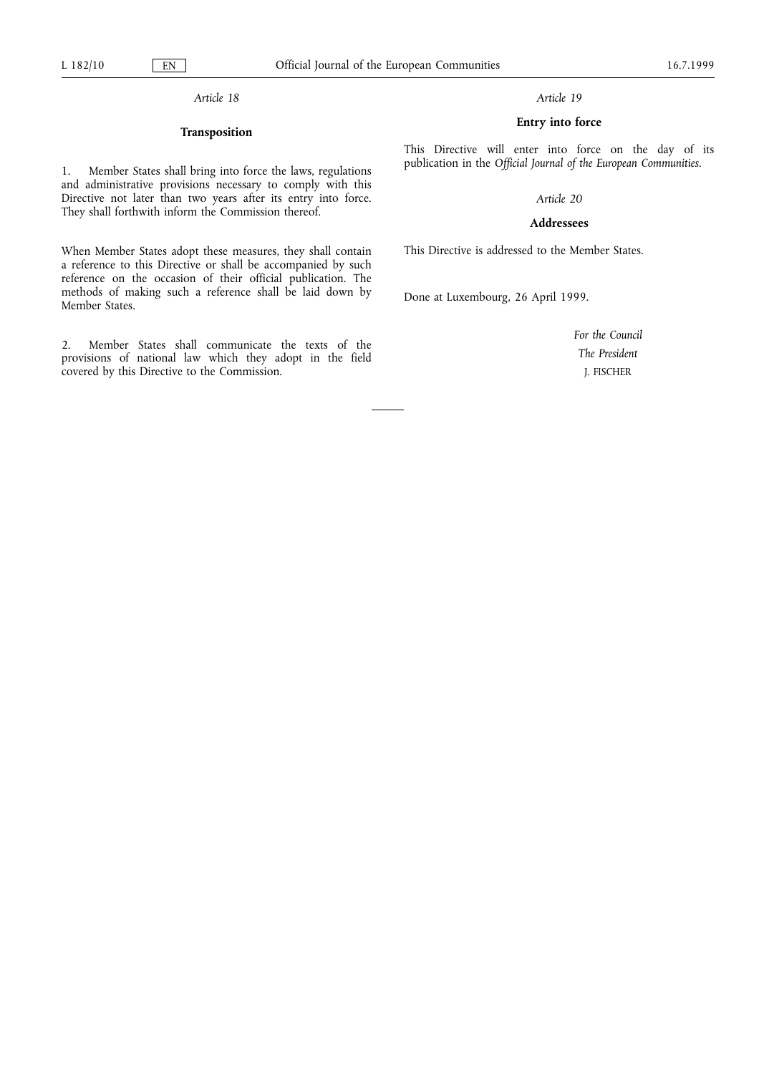Article 18

# Transposition

Member States shall bring into force the laws, regulations 1. and administrative provisions necessary to comply with this Directive not later than two years after its entry into force. They shall forthwith inform the Commission thereof.

When Member States adopt these measures, they shall contain a reference to this Directive or shall be accompanied by such reference on the occasion of their official publication. The methods of making such a reference shall be laid down by Member States.

 $2.$ Member States shall communicate the texts of the provisions of national law which they adopt in the field covered by this Directive to the Commission.

# Article 19

# Entry into force

This Directive will enter into force on the day of its publication in the Official Journal of the European Communities.

Article 20

# Addressees

This Directive is addressed to the Member States.

Done at Luxembourg, 26 April 1999.

For the Council The President J. FISCHER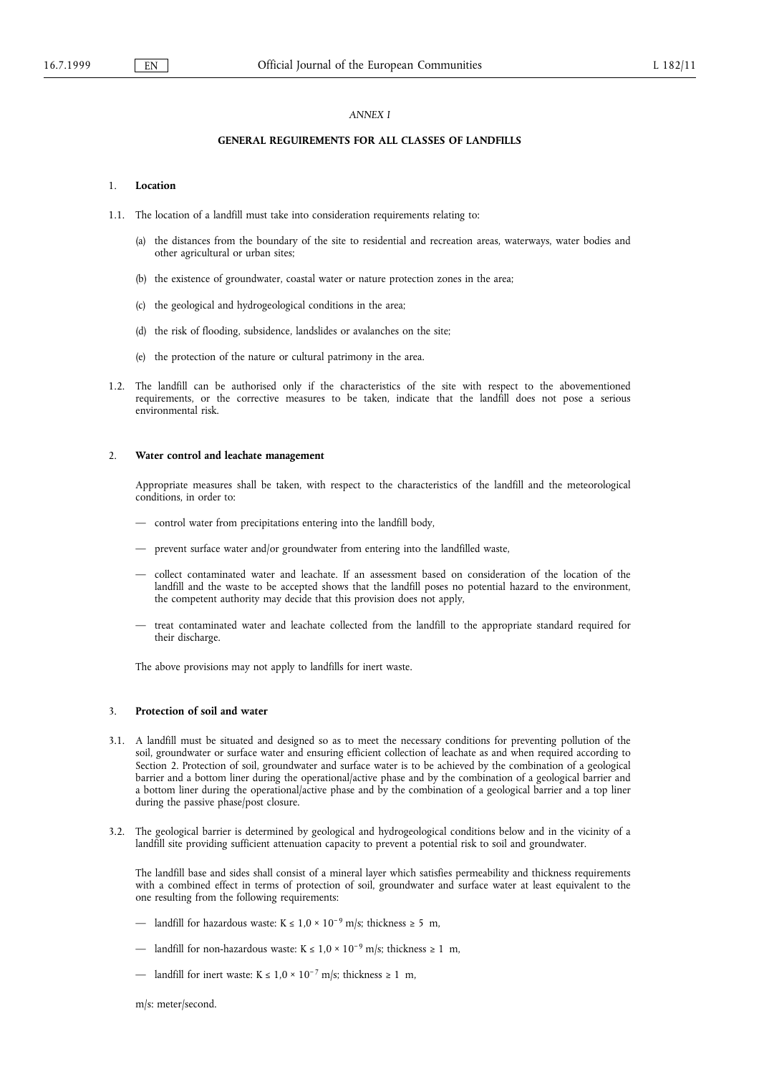## **ANNEX I**

## **GENERAL REGUIREMENTS FOR ALL CLASSES OF LANDFILLS**

#### $\overline{1}$ . Location

- 1.1. The location of a landfill must take into consideration requirements relating to:
	- (a) the distances from the boundary of the site to residential and recreation areas, waterways, water bodies and other agricultural or urban sites;
	- (b) the existence of groundwater, coastal water or nature protection zones in the area;
	- (c) the geological and hydrogeological conditions in the area;
	- (d) the risk of flooding, subsidence, landslides or avalanches on the site;
	- (e) the protection of the nature or cultural patrimony in the area.
- 1.2. The landfill can be authorised only if the characteristics of the site with respect to the abovementioned requirements, or the corrective measures to be taken, indicate that the landfill does not pose a serious environmental risk.

#### $\mathfrak{I}$ Water control and leachate management

Appropriate measures shall be taken, with respect to the characteristics of the landfill and the meteorological conditions, in order to:

- control water from precipitations entering into the landfill body,
- prevent surface water and/or groundwater from entering into the landfilled waste,
- collect contaminated water and leachate. If an assessment based on consideration of the location of the landfill and the waste to be accepted shows that the landfill poses no potential hazard to the environment, the competent authority may decide that this provision does not apply,
- treat contaminated water and leachate collected from the landfill to the appropriate standard required for their discharge.

The above provisions may not apply to landfills for inert waste.

#### Protection of soil and water  $3<sub>1</sub>$

- 3.1. A landfill must be situated and designed so as to meet the necessary conditions for preventing pollution of the soil, groundwater or surface water and ensuring efficient collection of leachate as and when required according to Section 2. Protection of soil, groundwater and surface water is to be achieved by the combination of a geological barrier and a bottom liner during the operational/active phase and by the combination of a geological barrier and a bottom liner during the operational/active phase and by the combination of a geological barrier and a top liner during the passive phase/post closure.
- 3.2. The geological barrier is determined by geological and hydrogeological conditions below and in the vicinity of a landfill site providing sufficient attenuation capacity to prevent a potential risk to soil and groundwater.

The landfill base and sides shall consist of a mineral layer which satisfies permeability and thickness requirements with a combined effect in terms of protection of soil, groundwater and surface water at least equivalent to the one resulting from the following requirements:

- landfill for hazardous waste:  $K \le 1.0 \times 10^{-9}$  m/s; thickness  $\ge 5$  m,
- landfill for non-hazardous waste:  $K \le 1.0 \times 10^{-9}$  m/s; thickness  $\ge 1$  m,
- landfill for inert waste:  $K \le 1.0 \times 10^{-7}$  m/s; thickness  $\ge 1$  m,

m/s: meter/second.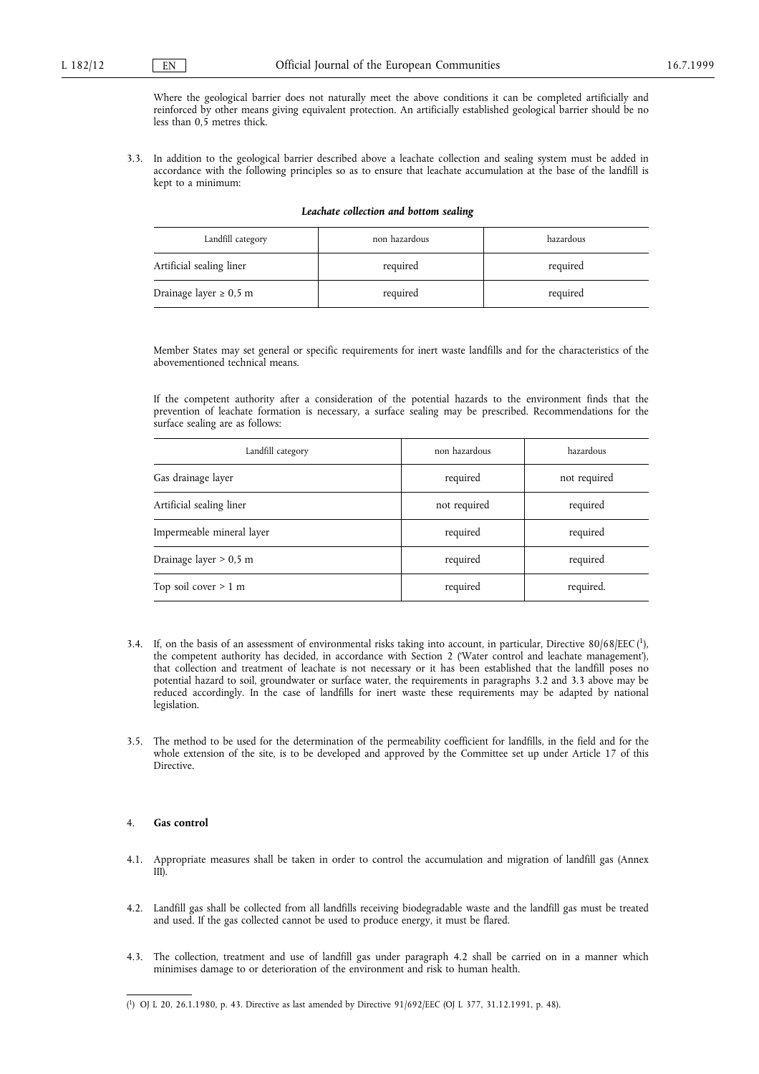Where the geological barrier does not naturally meet the above conditions it can be completed artificially and reinforced by other means giving equivalent protection. An artificially established geological barrier should be no less than  $0,\frac{5}{7}$  metres thick.

3.3. In addition to the geological barrier described above a leachate collection and sealing system must be added in accordance with the following principles so as to ensure that leachate accumulation at the base of the landfill is kept to a minimum:

| Leachate collection and bottom sealing |  |  |
|----------------------------------------|--|--|
|                                        |  |  |

| Landfill category           | non hazardous | hazardous |
|-----------------------------|---------------|-----------|
| Artificial sealing liner    | required      | required  |
| Drainage layer $\geq 0.5$ m | required      | required  |

Member States may set general or specific requirements for inert waste landfills and for the characteristics of the abovementioned technical means.

If the competent authority after a consideration of the potential hazards to the environment finds that the prevention of leachate formation is necessary, a surface sealing may be prescribed. Recommendations for the surface sealing are as follows:

| Landfill category         | non hazardous | hazardous    |
|---------------------------|---------------|--------------|
| Gas drainage layer        | required      | not required |
| Artificial sealing liner  | not required  | required     |
| Impermeable mineral layer | required      | required     |
| Drainage layer $> 0.5$ m  | required      | required     |
| Top soil cover $> 1$ m    | required      | required.    |

- 3.4. If, on the basis of an assessment of environmental risks taking into account, in particular, Directive 80/68/EEC(1), the competent authority has decided, in accordance with Section 2 (Water control and leachate management), that collection and treatment of leachate is not necessary or it has been established that the landfill poses no potential hazard to soil, groundwater or surface water, the requirements in paragraphs 3.2 and 3.3 above may be reduced accordingly. In the case of landfills for inert waste these requirements may be adapted by national legislation.
- 3.5. The method to be used for the determination of the permeability coefficient for landfills, in the field and for the whole extension of the site, is to be developed and approved by the Committee set up under Article 17 of this Directive.

#### Gas control  $\overline{4}$

- Appropriate measures shall be taken in order to control the accumulation and migration of landfill gas (Annex  $4.1.$  $III$ ).
- 4.2. Landfill gas shall be collected from all landfills receiving biodegradable waste and the landfill gas must be treated and used. If the gas collected cannot be used to produce energy, it must be flared.
- 4.3. The collection, treatment and use of landfill gas under paragraph 4.2 shall be carried on in a manner which minimises damage to or deterioration of the environment and risk to human health.

<sup>(&</sup>lt;sup>1</sup>) OJ L 20, 26.1.1980, p. 43. Directive as last amended by Directive 91/692/EEC (OJ L 377, 31.12.1991, p. 48).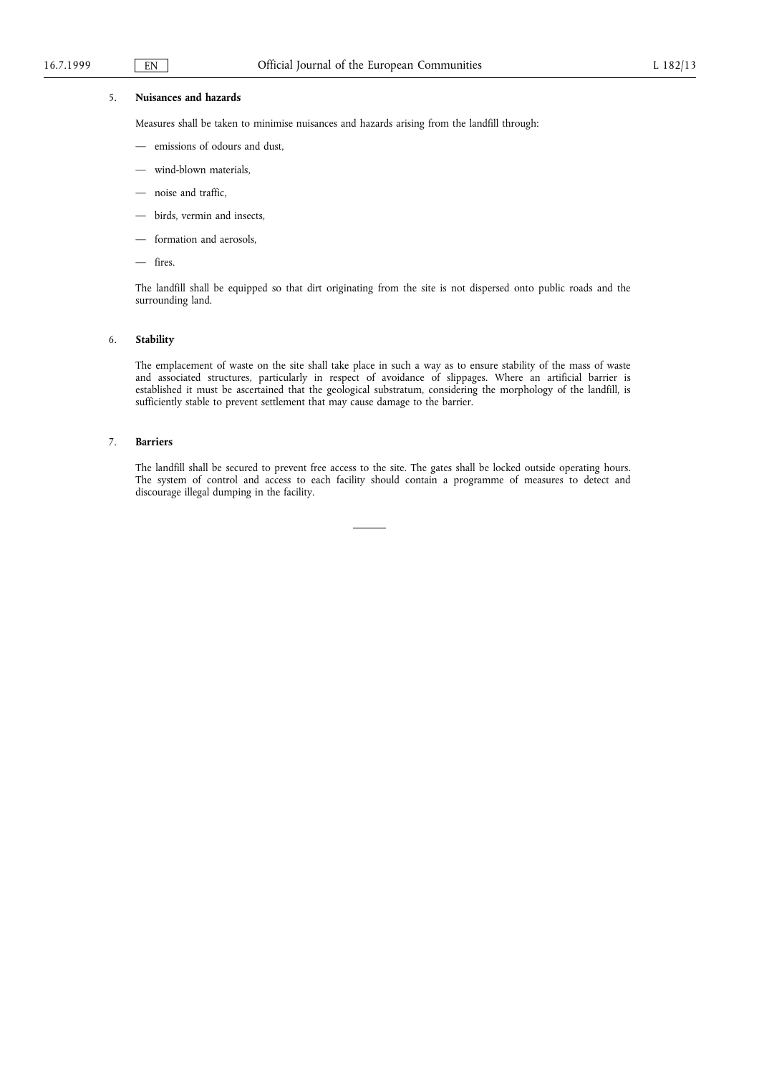#### 5. **Nuisances and hazards**

Measures shall be taken to minimise nuisances and hazards arising from the landfill through:

- emissions of odours and dust,
- wind-blown materials.
- noise and traffic,
- birds, vermin and insects,
- formation and aerosols,
- $-$  fires.

The landfill shall be equipped so that dirt originating from the site is not dispersed onto public roads and the surrounding land.

#### 6. Stability

The emplacement of waste on the site shall take place in such a way as to ensure stability of the mass of waste<br>and associated structures, particularly in respect of avoidance of slippages. Where an artificial barrier is established it must be ascertained that the geological substratum, considering the morphology of the landfill, is sufficiently stable to prevent settlement that may cause damage to the barrier.

#### $\overline{7}$ . **Barriers**

The landfill shall be secured to prevent free access to the site. The gates shall be locked outside operating hours. The system of control and access to each facility should contain a programme of measures to detect and discourage illegal dumping in the facility.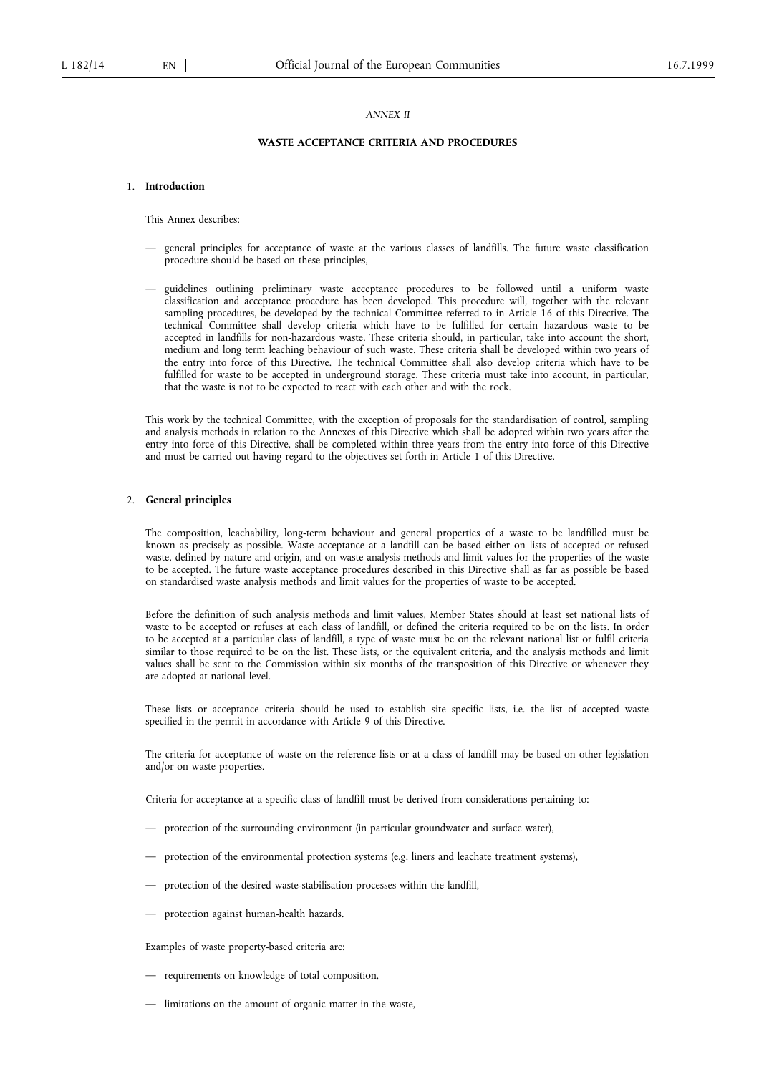## **ANNEX II**

### WASTE ACCEPTANCE CRITERIA AND PROCEDURES

#### 1. Introduction

This Annex describes:

- general principles for acceptance of waste at the various classes of landfills. The future waste classification procedure should be based on these principles,
- guidelines outlining preliminary waste acceptance procedures to be followed until a uniform waste classification and acceptance procedure has been developed. This procedure will, together with the relevant sampling procedures, be developed by the technical Committee referred to in Article 16 of this Directive. The technical Committee shall develop criteria which have to be fulfilled for certain hazardous waste to be accepted in landfills for non-hazardous waste. These criteria should, in particular, take into account the short, medium and long term leaching behaviour of such waste. These criteria shall be developed within two years of the entry into force of this Directive. The technical Committee shall also develop criteria which have to be fulfilled for waste to be accepted in underground storage. These criteria must take into account, in particular, that the waste is not to be expected to react with each other and with the rock.

This work by the technical Committee, with the exception of proposals for the standardisation of control, sampling and analysis methods in relation to the Annexes of this Directive which shall be adopted within two years after the entry into force of this Directive, shall be completed within three years from the entry into force of this Directive and must be carried out having regard to the objectives set forth in Article 1 of this Directive.

### 2. General principles

The composition, leachability, long-term behaviour and general properties of a waste to be landfilled must be known as precisely as possible. Waste acceptance at a landfill can be based either on lists of accepted or refused waste, defined by nature and origin, and on waste analysis methods and limit values for the properties of the waste to be accepted. The future waste acceptance procedures described in this Directive shall as far as possible be based on standardised waste analysis methods and limit values for the properties of waste to be accepted.

Before the definition of such analysis methods and limit values, Member States should at least set national lists of waste to be accepted or refuses at each class of landfill, or defined the criteria required to be on the lists. In order to be accepted at a particular class of landfill, a type of waste must be on the relevant national list or fulfil criteria similar to those required to be on the list. These lists, or the equivalent criteria, and the analysis methods and limit values shall be sent to the Commission within six months of the transposition of this Directive or whenever they are adopted at national level.

These lists or acceptance criteria should be used to establish site specific lists, i.e. the list of accepted waste specified in the permit in accordance with Article 9 of this Directive.

The criteria for acceptance of waste on the reference lists or at a class of landfill may be based on other legislation and/or on waste properties.

Criteria for acceptance at a specific class of landfill must be derived from considerations pertaining to:

- protection of the surrounding environment (in particular groundwater and surface water),
- protection of the environmental protection systems (e.g. liners and leachate treatment systems),
- protection of the desired waste-stabilisation processes within the landfill,
- protection against human-health hazards.

Examples of waste property-based criteria are:

- requirements on knowledge of total composition,
- limitations on the amount of organic matter in the waste,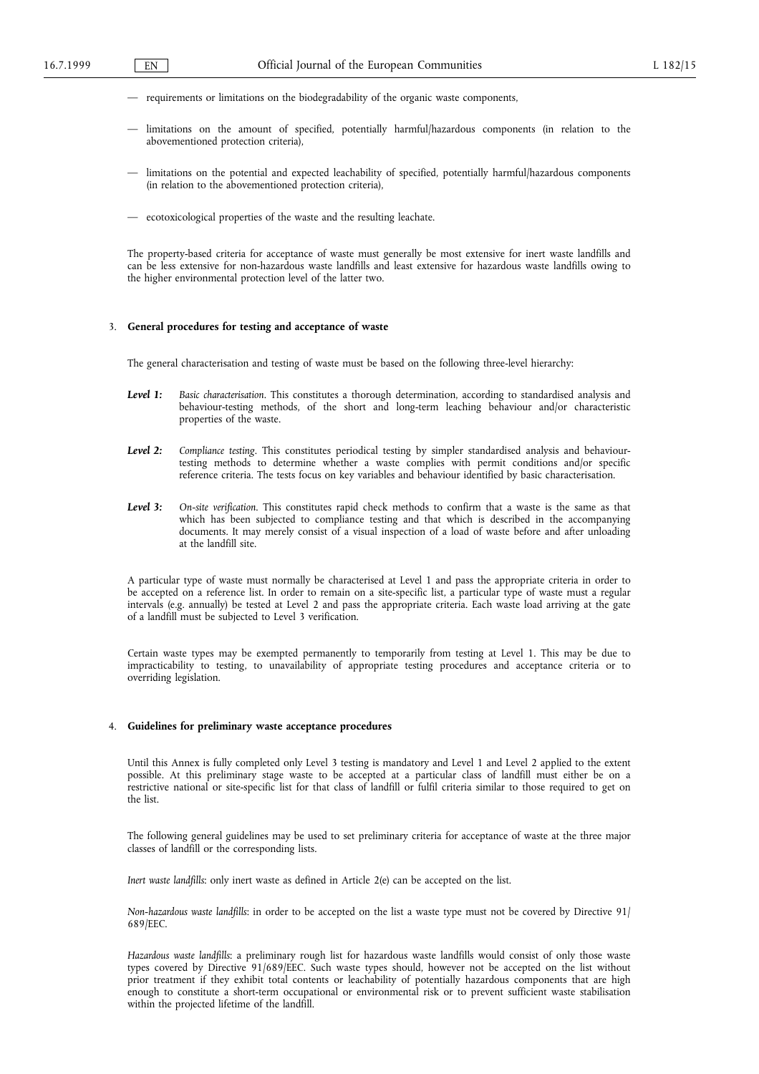- requirements or limitations on the biodegradability of the organic waste components,
- limitations on the amount of specified, potentially harmful/hazardous components (in relation to the abovementioned protection criteria),
- limitations on the potential and expected leachability of specified, potentially harmful/hazardous components (in relation to the abovementioned protection criteria),
- ecotoxicological properties of the waste and the resulting leachate.

The property-based criteria for acceptance of waste must generally be most extensive for inert waste landfills and can be less extensive for non-hazardous waste landfills and least extensive for hazardous waste landfills owing to the higher environmental protection level of the latter two.

## 3. General procedures for testing and acceptance of waste

The general characterisation and testing of waste must be based on the following three-level hierarchy:

- Level  $1:$ Basic characterisation. This constitutes a thorough determination, according to standardised analysis and behaviour-testing methods, of the short and long-term leaching behaviour and/or characteristic properties of the waste.
- Level 2: Compliance testing. This constitutes periodical testing by simpler standardised analysis and behaviourtesting methods to determine whether a waste complies with permit conditions and/or specific reference criteria. The tests focus on key variables and behaviour identified by basic characterisation.
- Level 3: On-site verification. This constitutes rapid check methods to confirm that a waste is the same as that which has been subjected to compliance testing and that which is described in the accompanying documents. It may merely consist of a visual inspection of a load of waste before and after unloading at the landfill site.

A particular type of waste must normally be characterised at Level 1 and pass the appropriate criteria in order to be accepted on a reference list. In order to remain on a site-specific list, a particular type of waste must a regular intervals (e.g. annually) be tested at Level 2 and pass the appropriate criteria. Each waste load arriving at the gate of a landfill must be subjected to Level 3 verification.

Certain waste types may be exempted permanently to temporarily from testing at Level 1. This may be due to impracticability to testing, to unavailability of appropriate testing procedures and acceptance criteria or to overriding legislation.

### 4. Guidelines for preliminary waste acceptance procedures

Until this Annex is fully completed only Level 3 testing is mandatory and Level 1 and Level 2 applied to the extent possible. At this preliminary stage waste to be accepted at a particular class of landfill must either be on a restrictive national or site-specific list for that class of landfill or fulfil criteria similar to those required to get on the list

The following general guidelines may be used to set preliminary criteria for acceptance of waste at the three major classes of landfill or the corresponding lists.

Inert waste landfills: only inert waste as defined in Article 2(e) can be accepted on the list.

Non-hazardous waste landfills: in order to be accepted on the list a waste type must not be covered by Directive 91/ 689/EEC.

Hazardous waste landfills: a preliminary rough list for hazardous waste landfills would consist of only those waste types covered by Directive 91/689/EEC. Such waste types should, however not be accepted on the list without prior treatment if they exhibit total contents or leachability of potentially hazardous components that are high enough to constitute a short-term occupational or environmental risk or to prevent sufficient waste stabilisation within the projected lifetime of the landfill.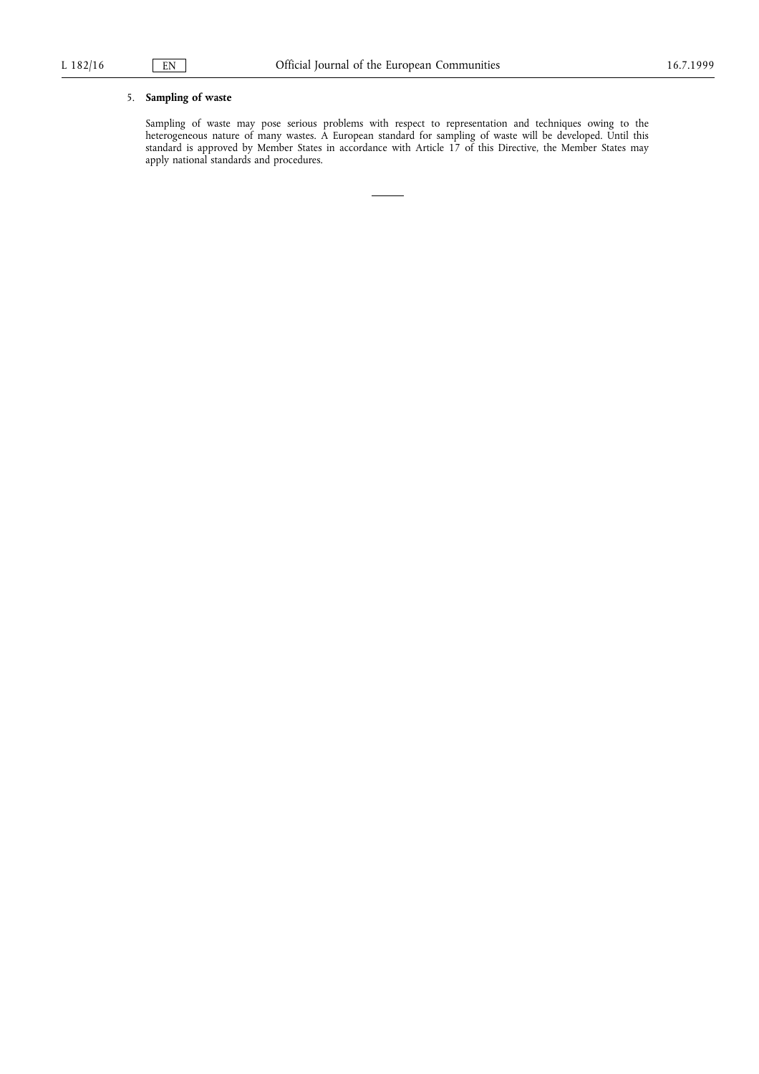# 5. Sampling of waste

Sampling of waste may pose serious problems with respect to representation and techniques owing to the heterogeneous nature of many wastes. A European standard for sampling of waste will be developed. Until this standard i apply national standards and procedures.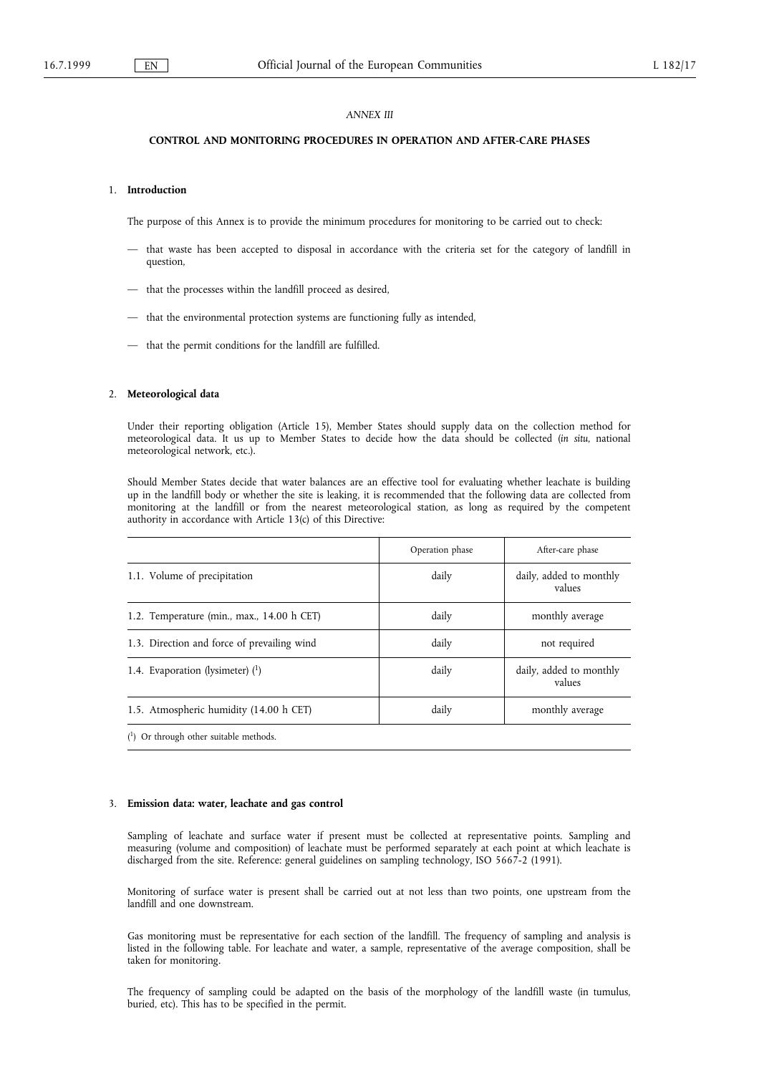$\overline{EN}$ 

## **ANNEX III**

## CONTROL AND MONITORING PROCEDURES IN OPERATION AND AFTER-CARE PHASES

## 1. Introduction

The purpose of this Annex is to provide the minimum procedures for monitoring to be carried out to check:

- that waste has been accepted to disposal in accordance with the criteria set for the category of landfill in question.
- that the processes within the landfill proceed as desired,
- that the environmental protection systems are functioning fully as intended,
- that the permit conditions for the landfill are fulfilled.

### 2. Meteorological data

Under their reporting obligation (Article 15), Member States should supply data on the collection method for meteorological data. It us up to Member States to decide how the data should be collected (in situ, national meteorological network, etc.).

Should Member States decide that water balances are an effective tool for evaluating whether leachate is building up in the landfill body or whether the site is leaking, it is recommended that the following data are collected from monitoring at the landfill or from the nearest meteorological station, as long as required by the competent authority in accordance with Article 13(c) of this Directive:

|                                                  | Operation phase | After-care phase                  |
|--------------------------------------------------|-----------------|-----------------------------------|
| 1.1. Volume of precipitation                     | daily           | daily, added to monthly<br>values |
| 1.2. Temperature (min., max., 14.00 h CET)       | daily           | monthly average                   |
| 1.3. Direction and force of prevailing wind      | daily           | not required                      |
| 1.4. Evaporation (lysimeter) $(1)$               | daily           | daily, added to monthly<br>values |
| 1.5. Atmospheric humidity (14.00 h CET)          | daily           | monthly average                   |
| $\binom{1}{1}$ Or through other suitable methods |                 |                                   |

#### 3. Emission data: water, leachate and gas control

Sampling of leachate and surface water if present must be collected at representative points. Sampling and measuring (volume and composition) of leachate must be performed separately at each point at which leachate is discharged from the site. Reference: general guidelines on sampling technology, ISO 5667-2 (1991).

Monitoring of surface water is present shall be carried out at not less than two points, one upstream from the landfill and one downstream.

Gas monitoring must be representative for each section of the landfill. The frequency of sampling and analysis is listed in the following table. For leachate and water, a sample, representative of the average composition, shall be taken for monitoring.

The frequency of sampling could be adapted on the basis of the morphology of the landfill waste (in tumulus, buried, etc). This has to be specified in the permit.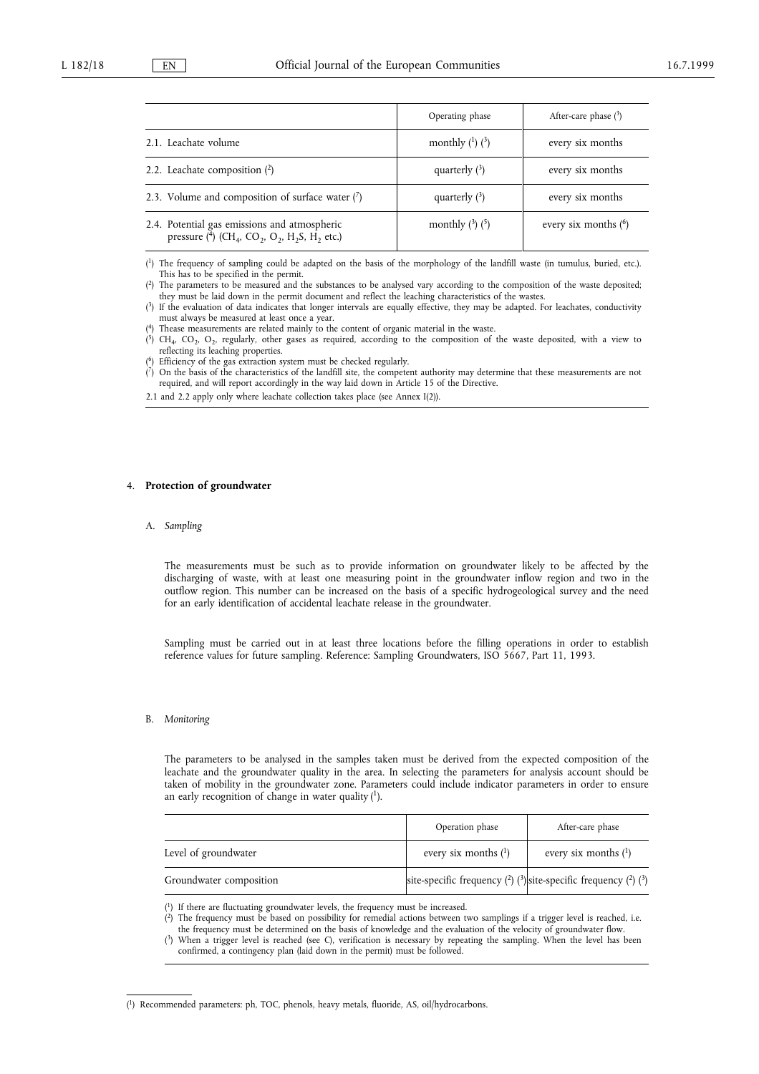|                                                                                                                                                           | Operating phase       | After-care phase $(^3)$ |
|-----------------------------------------------------------------------------------------------------------------------------------------------------------|-----------------------|-------------------------|
| 2.1. Leachate volume                                                                                                                                      | monthly $(^1)$ $(^3)$ | every six months        |
| 2.2. Leachate composition $(2)$                                                                                                                           | quarterly $(^3)$      | every six months        |
| 2.3. Volume and composition of surface water $\binom{7}{1}$                                                                                               | quarterly $(^3)$      | every six months        |
| 2.4. Potential gas emissions and atmospheric<br>pressure (4) (CH <sub>4</sub> , CO <sub>2</sub> , O <sub>2</sub> , H <sub>2</sub> S, H <sub>2</sub> etc.) | monthly $(^3)$ $(^5)$ | every six months $(6)$  |

(1) The frequency of sampling could be adapted on the basis of the morphology of the landfill waste (in tumulus, buried, etc.). This has to be specified in the permit.

CH<sub>4</sub>, CO<sub>2</sub>, O<sub>2</sub>, regularly, other gases as required, according to the composition of the waste deposited, with a view to  $\binom{5}{ }$ reflecting its leaching properties.

Efficiency of the gas extraction system must be checked regularly.

On the basis of the characteristics of the landfill site, the competent authority may determine that these measurements are not  $(7)$ required, and will report accordingly in the way laid down in Article 15 of the Directive.

2.1 and 2.2 apply only where leachate collection takes place (see Annex I(2)).

### 4. Protection of groundwater

## A. Sampling

The measurements must be such as to provide information on groundwater likely to be affected by the discharging of waste, with at least one measuring point in the groundwater inflow region and two in the outflow region. This number can be increased on the basis of a specific hydrogeological survey and the need for an early identification of accidental leachate release in the groundwater.

Sampling must be carried out in at least three locations before the filling operations in order to establish reference values for future sampling. Reference: Sampling Groundwaters, ISO 5667, Part 11, 1993.

#### B. Monitoring

The parameters to be analysed in the samples taken must be derived from the expected composition of the leachate and the groundwater quality in the area. In selecting the parameters for analysis account should be taken of mobility in the groundwater zone. Parameters could include indicator parameters in order to ensure an early recognition of change in water quality  $(1)$ .

|                         | Operation phase        | After-care phase                                                        |
|-------------------------|------------------------|-------------------------------------------------------------------------|
| Level of groundwater    | every six months $(1)$ | every six months $(1)$                                                  |
| Groundwater composition |                        | site-specific frequency $(2)$ $(3)$ site-specific frequency $(2)$ $(3)$ |

If there are fluctuating groundwater levels, the frequency must be increased.

 $(2)$ The frequency must be based on possibility for remedial actions between two samplings if a trigger level is reached, i.e. the frequency must be determined on the basis of knowledge and the evaluation of the velocity of groundwater flow.

 $(^{3})$ When a trigger level is reached (see C), verification is necessary by repeating the sampling. When the level has been confirmed, a contingency plan (laid down in the permit) must be followed.

 $(2)$ The parameters to be measured and the substances to be analysed vary according to the composition of the waste deposited; they must be laid down in the permit document and reflect the leaching characteristics of the wastes

<sup>(3)</sup> If the evaluation of data indicates that longer intervals are equally effective, they may be adapted. For leachates, conductivity must always be measured at least once a year.

Thease measurements are related mainly to the content of organic material in the waste.

<sup>(1)</sup> Recommended parameters: ph, TOC, phenols, heavy metals, fluoride, AS, oil/hydrocarbons.